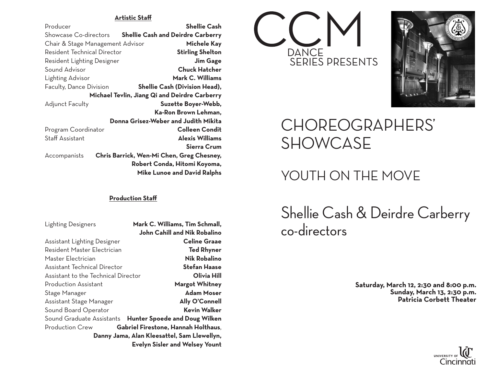#### **Artistic Staff**

| Producer                                      | <b>Shellie Cash</b>                       |
|-----------------------------------------------|-------------------------------------------|
| Showcase Co-directors                         | <b>Shellie Cash and Deirdre Carberry</b>  |
| Chair & Stage Management Advisor              | Michele Kay                               |
| Resident Technical Director                   | <b>Stirling Shelton</b>                   |
| Resident Lighting Designer                    | <b>Jim Gage</b>                           |
| Sound Advisor                                 | <b>Chuck Hatcher</b>                      |
| Lighting Advisor                              | Mark C. Williams                          |
| Faculty, Dance Division                       | Shellie Cash (Division Head),             |
| Michael Tevlin, Jiang Qi and Deirdre Carberry |                                           |
| Adjunct Faculty                               | Suzette Boyer-Webb,                       |
|                                               | Ka-Ron Brown Lehman,                      |
| Donna Grisez-Weber and Judith Mikita          |                                           |
| Program Coordinator                           | <b>Colleen Condit</b>                     |
| <b>Staff Assistant</b>                        | <b>Alexis Williams</b>                    |
|                                               | Sierra Crum                               |
| Accompanists                                  | Chris Barrick, Wen-Mi Chen, Greg Chesney, |
|                                               | Robert Conda, Hitomi Koyoma,              |
|                                               | <b>Mike Lunoe and David Ralphs</b>        |

#### **Production Staff**

Lighting Designers **Mark C. Williams, Tim Schmall,**

| <b>John Cahill and Nik Robalino</b>                     |  |
|---------------------------------------------------------|--|
| <b>Celine Graae</b>                                     |  |
| <b>Ted Rhyner</b>                                       |  |
| <b>Nik Robalino</b>                                     |  |
| <b>Stefan Haase</b>                                     |  |
| Assistant to the Technical Director<br>Olivia Hill      |  |
| <b>Margot Whitney</b>                                   |  |
| <b>Adam Moser</b>                                       |  |
| <b>Ally O'Connell</b>                                   |  |
| <b>Kevin Walker</b>                                     |  |
| Sound Graduate Assistants Hunter Spoede and Doug Wilken |  |
| Gabriel Firestone, Hannah Holthaus,                     |  |
| Danny Jama, Alan Kleesattel, Sam Llewellyn,             |  |
| <b>Evelyn Sisler and Welsey Yount</b>                   |  |
|                                                         |  |





## CHOREOGRAPHERS' SHOWCASE

### YOUTH ON THE MOVE

Shellie Cash & Deirdre Carberry co-directors

**Saturday, March 12, 2:30 and 8:00 p.m. Sunday, March 13, 2:30 p.m. Patricia Corbett Theater** 

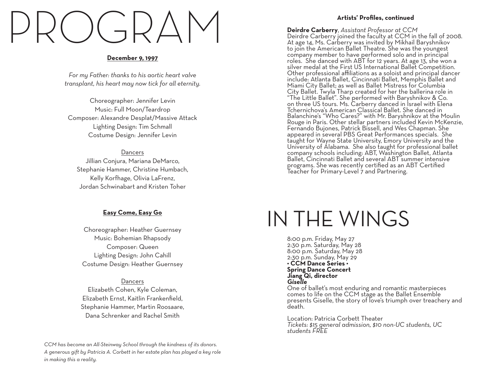# PROGRAM

#### **December 9, 1997**

*For my Father: thanks to his aortic heart valve transplant, his heart may now tick for all eternity.*

Choreographer: Jennifer Levin Music: Full Moon/Teardrop Composer: Alexandre Desplat/Massive Attack Lighting Design: Tim Schmall Costume Design: Jennifer Levin

#### Dancers

Jillian Conjura, Mariana DeMarco, Stephanie Hammer, Christine Humbach, Kelly Korfhage, Olivia LaFrenz, Jordan Schwinabart and Kristen Toher

#### **Easy Come, Easy Go**

Choreographer: Heather Guernsey Music: Bohemian Rhapsody Composer: Queen Lighting Design: John Cahill Costume Design: Heather Guernsey

**Dancers** Elizabeth Cohen, Kyle Coleman, Elizabeth Ernst, Kaitlin Frankenfield, Stephanie Hammer, Martin Roosaare, Dana Schrenker and Rachel Smith

*CCM has become an All-Steinway School through the kindness of its donors. A generous gift by Patricia A. Corbett in her estate plan has played a key role in making this a reality.*

#### **Artists' Profiles, continued**

**Deirdre Carberry**, *Assistant Professor at CCM*<br>Deirdre Carberry joined the faculty at CCM in the fall of 2008. At age 14, Ms. Carberry was invited by Mikhail Baryshnikov to join the American Ballet Theatre. She was the youngest company member to have performed solo and in principal roles. She danced with ABT for 12 years. At age 13, she won a silver medal at the First US International Ballet Competition. Other professional affiliations as a soloist and principal dancer include: Atlanta Ballet, Cincinnati Ballet, Memphis Ballet and Miami City Ballet; as well as Ballet Mistress for Columbia City Ballet. Twyla Tharp created for her the ballerina role in "The Little Ballet". She performed with Baryshnikov & Co. on three US tours. Ms. Carberry danced in Israel with Elena Tchernichova's American Classical Ballet. She danced in Balanchine's "Who Cares?" with Mr. Baryshnikov at the Moulin Rouge in Paris. Other stellar partners included Kevin McKenzie, Fernando Bujones, Patrick Bissell, and Wes Chapman. She appeared in several PBS Great Performances specials. She taught for Wayne State University, Emory University and the University of Alabama. She also taught for professional ballet company schools including: ABT, Washington Ballet, Atlanta Ballet, Cincinnati Ballet and several ABT summer intensive programs. She was recently certified as an ABT Certified Teacher for Primary-Level 7 and Partnering.

# IN THE WINGS

8:00 p.m. Friday, May 27 2:30 p.m. Saturday, May 28 8:00 p.m. Saturday, May 28 2:30 p.m. Sunday, May 29 **• CCM Dance Series • Spring Dance Concert Jiang Qi, director** *Giselle*

One of ballet's most enduring and romantic masterpieces comes to life on the CCM stage as the Ballet Ensemble presents Giselle, the story of love's triumph over treachery and death.

Location: Patricia Corbett Theater *Tickets: \$15 general admission, \$10 non-UC students, UC students FREE*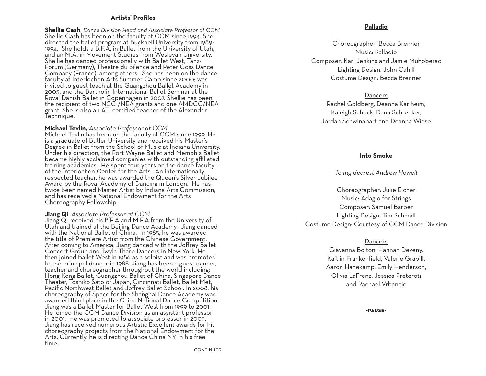#### **Artists' Profiles**

**Shellie Cash**, *Dance Division Head and Associate Professor at CCM* Shellie Cash has been on the faculty at CCM since 1994. She directed the ballet program at Bucknell University from 1989- 1994. She holds a B.F.A. in Ballet from the University of Utah, and an M.A. in Movement Studies from Wesleyan University. Shellie has danced professionally with Ballet West, Tanz-Forum (Germany), Theatre du Silence and Peter Goss Dance Company (France), among others. She has been on the dance faculty at Interlochen Arts Summer Camp since 2000; was invited to guest teach at the Guangzhou Ballet Academy in 2005, and the Bartholin International Ballet Seminar at the Royal Danish Ballet in Copenhagen in 2007. Shellie has been the recipient of two NCCI/NEA grants and one AMDCC/NEA grant. She is also an ATI certified teacher of the Alexander Technique.

**Michael Tevlin,** Associate Professor at CCM<br>Michael Tevlin has been on the faculty at CCM since 1999. He is a graduate of Butler University and received his Master's Degree in Ballet from the School of Music at Indiana University. Under his direction, the Fort Wayne Ballet and Memphis Ballet became highly acclaimed companies with outstanding affiliated training academics. He spent four years on the dance faculty of the Interlochen Center for the Arts. An internationally respected teacher, he was awarded the Queen's Silver Jubilee Award by the Royal Academy of Dancing in London. He has twice been named Master Artist by Indiana Arts Commission; and has received a National Endowment for the Arts Choreography Fellowship.

#### **Jiang Qi.** Associate Professor at CCM

Jiang Qi received his B.F.A and M.F.A from the University of Utah and trained at the Beijing Dance Academy. Jiang danced with the National Ballet of China. In 1985, he was awarded the title of Premiere Artist from the Chinese Government. After coming to America, Jiang danced with the Joffrey Ballet Concert Group and Twyla Tharp Dancers in New York. He then joined Ballet West in 1986 as a soloist and was promoted to the principal dancer in 1988. Jiang has been a guest dancer, teacher and choreographer throughout the world including: Hong Kong Ballet, Guangzhou Ballet of China, Singapore Dance Theater, Toshiko Sato of Japan, Cincinnati Ballet, Ballet Met, Pacific Northwest Ballet and Joffrey Ballet School. In 2008, his choreography of Space for the Shanghai Dance Academy was awarded third place in the China National Dance Competition. Jiang was a Ballet Master for Ballet West from 1999 to 2001. He joined the CCM Dance Division as an assistant professor in 2001. He was promoted to associate professor in 2005. Jiang has received numerous Artistic Excellent awards for his choreography projects from the National Endowment for the Arts. Currently, he is directing Dance China NY in his free time.

#### **Palladio**

Choreographer: Becca Brenner Music: Palladio Composer: Karl Jenkins and Jamie Muhoberac Lighting Design: John Cahill Costume Design: Becca Brenner

#### Dancers

Rachel Goldberg, Deanna Karlheim, Kaleigh Schock, Dana Schrenker, Jordan Schwinabart and Deanna Wiese

#### **Into Smoke**

#### *To my dearest Andrew Howell*

Choreographer: Julie Eicher Music: Adagio for Strings Composer: Samuel Barber Lighting Design: Tim Schmall Costume Design: Courtesy of CCM Dance Division

#### Dancers

Giavanna Bolton, Hannah Deveny, Kaitlin Frankenfield, Valerie Grabill, Aaron Hanekamp, Emily Henderson, Olivia LaFrenz, Jessica Preteroti and Rachael Vrbancic

#### **-pause-**